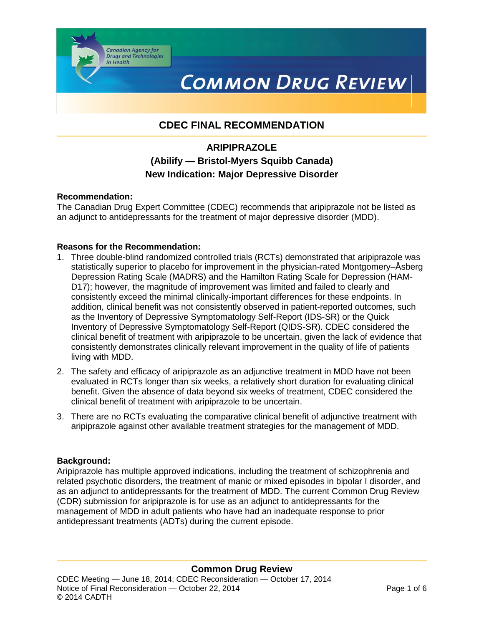# **COMMON DRUG REVIEW**

# **CDEC FINAL RECOMMENDATION**

# **ARIPIPRAZOLE (Abilify — Bristol-Myers Squibb Canada) New Indication: Major Depressive Disorder**

#### **Recommendation:**

The Canadian Drug Expert Committee (CDEC) recommends that aripiprazole not be listed as an adjunct to antidepressants for the treatment of major depressive disorder (MDD).

#### **Reasons for the Recommendation:**

**Canadian Agency for<br>Drugs and Technologies** 

in Health

- 1. Three double-blind randomized controlled trials (RCTs) demonstrated that aripiprazole was statistically superior to placebo for improvement in the physician-rated Montgomery–Åsberg Depression Rating Scale (MADRS) and the Hamilton Rating Scale for Depression (HAM-D17); however, the magnitude of improvement was limited and failed to clearly and consistently exceed the minimal clinically-important differences for these endpoints. In addition, clinical benefit was not consistently observed in patient-reported outcomes, such as the Inventory of Depressive Symptomatology Self-Report (IDS-SR) or the Quick Inventory of Depressive Symptomatology Self-Report (QIDS-SR). CDEC considered the clinical benefit of treatment with aripiprazole to be uncertain, given the lack of evidence that consistently demonstrates clinically relevant improvement in the quality of life of patients living with MDD.
- 2. The safety and efficacy of aripiprazole as an adjunctive treatment in MDD have not been evaluated in RCTs longer than six weeks, a relatively short duration for evaluating clinical benefit. Given the absence of data beyond six weeks of treatment, CDEC considered the clinical benefit of treatment with aripiprazole to be uncertain.
- 3. There are no RCTs evaluating the comparative clinical benefit of adjunctive treatment with aripiprazole against other available treatment strategies for the management of MDD.

#### **Background:**

Aripiprazole has multiple approved indications, including the treatment of schizophrenia and related psychotic disorders, the treatment of manic or mixed episodes in bipolar I disorder, and as an adjunct to antidepressants for the treatment of MDD. The current Common Drug Review (CDR) submission for aripiprazole is for use as an adjunct to antidepressants for the management of MDD in adult patients who have had an inadequate response to prior antidepressant treatments (ADTs) during the current episode.

#### **Common Drug Review**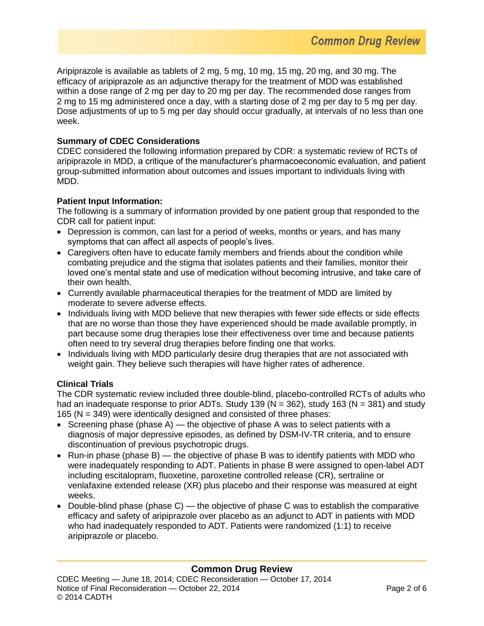Aripiprazole is available as tablets of 2 mg, 5 mg, 10 mg, 15 mg, 20 mg, and 30 mg. The efficacy of aripiprazole as an adjunctive therapy for the treatment of MDD was established within a dose range of 2 mg per day to 20 mg per day. The recommended dose ranges from 2 mg to 15 mg administered once a day, with a starting dose of 2 mg per day to 5 mg per day. Dose adjustments of up to 5 mg per day should occur gradually, at intervals of no less than one week.

## **Summary of CDEC Considerations**

CDEC considered the following information prepared by CDR: a systematic review of RCTs of aripiprazole in MDD, a critique of the manufacturer's pharmacoeconomic evaluation, and patient group-submitted information about outcomes and issues important to individuals living with MDD.

## **Patient Input Information:**

The following is a summary of information provided by one patient group that responded to the CDR call for patient input:

- Depression is common, can last for a period of weeks, months or years, and has many symptoms that can affect all aspects of people's lives.
- Caregivers often have to educate family members and friends about the condition while combating prejudice and the stigma that isolates patients and their families, monitor their loved one's mental state and use of medication without becoming intrusive, and take care of their own health.
- Currently available pharmaceutical therapies for the treatment of MDD are limited by moderate to severe adverse effects.
- Individuals living with MDD believe that new therapies with fewer side effects or side effects that are no worse than those they have experienced should be made available promptly, in part because some drug therapies lose their effectiveness over time and because patients often need to try several drug therapies before finding one that works.
- Individuals living with MDD particularly desire drug therapies that are not associated with weight gain. They believe such therapies will have higher rates of adherence.

# **Clinical Trials**

The CDR systematic review included three double-blind, placebo-controlled RCTs of adults who had an inadequate response to prior ADTs. Study 139 ( $N = 362$ ), study 163 ( $N = 381$ ) and study 165 (N = 349) were identically designed and consisted of three phases:

- Screening phase (phase  $A$ ) the objective of phase A was to select patients with a diagnosis of major depressive episodes, as defined by DSM-IV-TR criteria, and to ensure discontinuation of previous psychotropic drugs.
- Run-in phase (phase  $B$ ) the objective of phase B was to identify patients with MDD who were inadequately responding to ADT. Patients in phase B were assigned to open-label ADT including escitalopram, fluoxetine, paroxetine controlled release (CR), sertraline or venlafaxine extended release (XR) plus placebo and their response was measured at eight weeks.
- Double-blind phase (phase  $C$ ) the objective of phase C was to establish the comparative efficacy and safety of aripiprazole over placebo as an adjunct to ADT in patients with MDD who had inadequately responded to ADT. Patients were randomized (1:1) to receive aripiprazole or placebo.

# **Common Drug Review**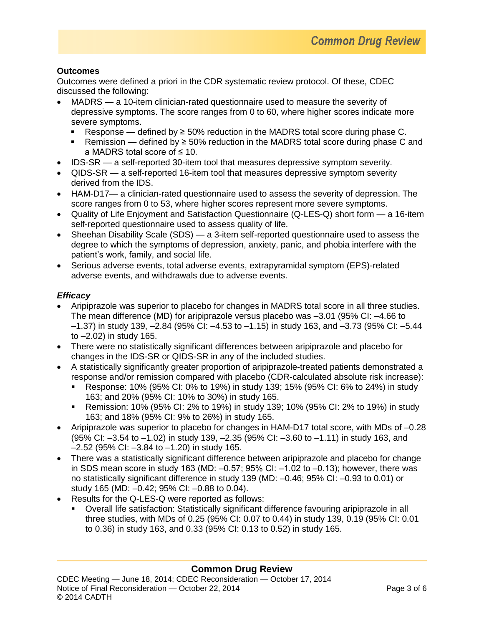# **Outcomes**

Outcomes were defined a priori in the CDR systematic review protocol. Of these, CDEC discussed the following:

- MADRS a 10-item clinician-rated questionnaire used to measure the severity of depressive symptoms. The score ranges from 0 to 60, where higher scores indicate more severe symptoms.
	- Response defined by  $\geq 50\%$  reduction in the MADRS total score during phase C.
	- Remission defined by ≥ 50% reduction in the MADRS total score during phase C and a MADRS total score of ≤ 10.
- IDS-SR a self-reported 30-item tool that measures depressive symptom severity.
- QIDS-SR a self-reported 16-item tool that measures depressive symptom severity derived from the IDS.
- HAM-D17— a clinician-rated questionnaire used to assess the severity of depression. The score ranges from 0 to 53, where higher scores represent more severe symptoms.
- Quality of Life Enjoyment and Satisfaction Questionnaire (Q-LES-Q) short form a 16-item self-reported questionnaire used to assess quality of life.
- Sheehan Disability Scale (SDS) a 3-item self-reported questionnaire used to assess the degree to which the symptoms of depression, anxiety, panic, and phobia interfere with the patient's work, family, and social life.
- Serious adverse events, total adverse events, extrapyramidal symptom (EPS)-related adverse events, and withdrawals due to adverse events.

# *Efficacy*

- Aripiprazole was superior to placebo for changes in MADRS total score in all three studies. The mean difference (MD) for aripiprazole versus placebo was  $-3.01$  (95% CI:  $-4.66$  to  $-1.37$ ) in study 139,  $-2.84$  (95% CI:  $-4.53$  to  $-1.15$ ) in study 163, and  $-3.73$  (95% CI:  $-5.44$ to  $-2.02$ ) in study 165.
- There were no statistically significant differences between aripiprazole and placebo for changes in the IDS-SR or QIDS-SR in any of the included studies.
- A statistically significantly greater proportion of aripiprazole-treated patients demonstrated a response and/or remission compared with placebo (CDR-calculated absolute risk increase):
	- Response: 10% (95% CI: 0% to 19%) in study 139; 15% (95% CI: 6% to 24%) in study 163; and 20% (95% CI: 10% to 30%) in study 165.
	- Remission: 10% (95% CI: 2% to 19%) in study 139; 10% (95% CI: 2% to 19%) in study 163; and 18% (95% CI: 9% to 26%) in study 165.
- Aripiprazole was superior to placebo for changes in HAM-D17 total score, with MDs of  $-0.28$ (95% CI: ‒3.54 to ‒1.02) in study 139, ‒2.35 (95% CI: ‒3.60 to ‒1.11) in study 163, and  $-2.52$  (95% CI:  $-3.84$  to  $-1.20$ ) in study 165.
- There was a statistically significant difference between aripiprazole and placebo for change in SDS mean score in study 163 (MD:  $-0.57$ ; 95% CI:  $-1.02$  to  $-0.13$ ); however, there was no statistically significant difference in study 139 (MD:  $-0.46$ ; 95% CI:  $-0.93$  to 0.01) or study 165 (MD: -0.42; 95% CI: -0.88 to 0.04).
- Results for the Q-LES-Q were reported as follows:
	- Overall life satisfaction: Statistically significant difference favouring aripiprazole in all three studies, with MDs of 0.25 (95% CI: 0.07 to 0.44) in study 139, 0.19 (95% CI: 0.01 to 0.36) in study 163, and 0.33 (95% CI: 0.13 to 0.52) in study 165.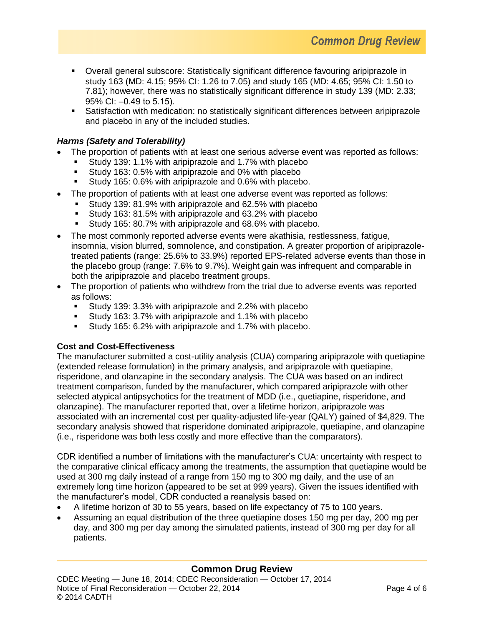- Overall general subscore: Statistically significant difference favouring aripiprazole in study 163 (MD: 4.15; 95% CI: 1.26 to 7.05) and study 165 (MD: 4.65; 95% CI: 1.50 to 7.81); however, there was no statistically significant difference in study 139 (MD: 2.33; 95% CI: -0.49 to 5.15).
- Satisfaction with medication: no statistically significant differences between aripiprazole and placebo in any of the included studies.

# *Harms (Safety and Tolerability)*

- The proportion of patients with at least one serious adverse event was reported as follows:
	- Study 139: 1.1% with aripiprazole and 1.7% with placebo
	- Study 163: 0.5% with aripiprazole and 0% with placebo
	- Study 165: 0.6% with aripiprazole and 0.6% with placebo.
- The proportion of patients with at least one adverse event was reported as follows:
	- Study 139: 81.9% with aripiprazole and 62.5% with placebo
	- Study 163: 81.5% with aripiprazole and 63.2% with placebo
	- Study 165: 80.7% with aripiprazole and 68.6% with placebo.
- The most commonly reported adverse events were akathisia, restlessness, fatigue, insomnia, vision blurred, somnolence, and constipation. A greater proportion of aripiprazoletreated patients (range: 25.6% to 33.9%) reported EPS-related adverse events than those in the placebo group (range: 7.6% to 9.7%). Weight gain was infrequent and comparable in both the aripiprazole and placebo treatment groups.
- The proportion of patients who withdrew from the trial due to adverse events was reported as follows:
	- Study 139: 3.3% with aripiprazole and 2.2% with placebo
	- Study 163: 3.7% with aripiprazole and 1.1% with placebo
	- Study 165: 6.2% with aripiprazole and 1.7% with placebo.

#### **Cost and Cost-Effectiveness**

The manufacturer submitted a cost-utility analysis (CUA) comparing aripiprazole with quetiapine (extended release formulation) in the primary analysis, and aripiprazole with quetiapine, risperidone, and olanzapine in the secondary analysis. The CUA was based on an indirect treatment comparison, funded by the manufacturer, which compared aripiprazole with other selected atypical antipsychotics for the treatment of MDD (i.e., quetiapine, risperidone, and olanzapine). The manufacturer reported that, over a lifetime horizon, aripiprazole was associated with an incremental cost per quality-adjusted life-year (QALY) gained of \$4,829. The secondary analysis showed that risperidone dominated aripiprazole, quetiapine, and olanzapine (i.e., risperidone was both less costly and more effective than the comparators).

CDR identified a number of limitations with the manufacturer's CUA: uncertainty with respect to the comparative clinical efficacy among the treatments, the assumption that quetiapine would be used at 300 mg daily instead of a range from 150 mg to 300 mg daily, and the use of an extremely long time horizon (appeared to be set at 999 years). Given the issues identified with the manufacturer's model, CDR conducted a reanalysis based on:

- A lifetime horizon of 30 to 55 years, based on life expectancy of 75 to 100 years.
- Assuming an equal distribution of the three quetiapine doses 150 mg per day, 200 mg per day, and 300 mg per day among the simulated patients, instead of 300 mg per day for all patients.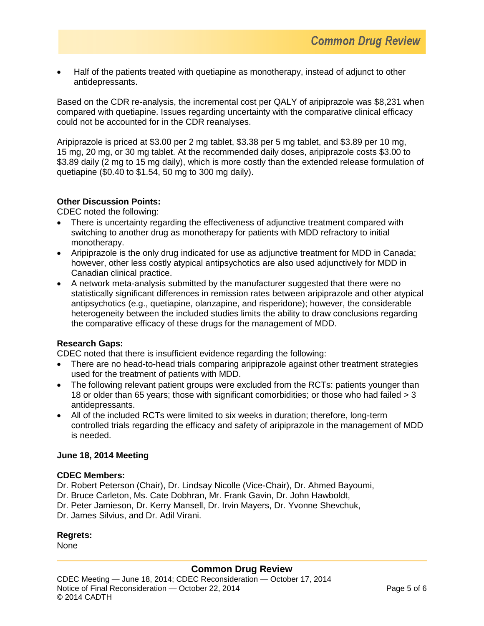Half of the patients treated with quetiapine as monotherapy, instead of adjunct to other antidepressants.

Based on the CDR re-analysis, the incremental cost per QALY of aripiprazole was \$8,231 when compared with quetiapine. Issues regarding uncertainty with the comparative clinical efficacy could not be accounted for in the CDR reanalyses.

Aripiprazole is priced at \$3.00 per 2 mg tablet, \$3.38 per 5 mg tablet, and \$3.89 per 10 mg, 15 mg, 20 mg, or 30 mg tablet. At the recommended daily doses, aripiprazole costs \$3.00 to \$3.89 daily (2 mg to 15 mg daily), which is more costly than the extended release formulation of quetiapine (\$0.40 to \$1.54, 50 mg to 300 mg daily).

#### **Other Discussion Points:**

CDEC noted the following:

- There is uncertainty regarding the effectiveness of adjunctive treatment compared with switching to another drug as monotherapy for patients with MDD refractory to initial monotherapy.
- Aripiprazole is the only drug indicated for use as adjunctive treatment for MDD in Canada; however, other less costly atypical antipsychotics are also used adjunctively for MDD in Canadian clinical practice.
- A network meta-analysis submitted by the manufacturer suggested that there were no statistically significant differences in remission rates between aripiprazole and other atypical antipsychotics (e.g., quetiapine, olanzapine, and risperidone); however, the considerable heterogeneity between the included studies limits the ability to draw conclusions regarding the comparative efficacy of these drugs for the management of MDD.

#### **Research Gaps:**

CDEC noted that there is insufficient evidence regarding the following:

- There are no head-to-head trials comparing aripiprazole against other treatment strategies used for the treatment of patients with MDD.
- The following relevant patient groups were excluded from the RCTs: patients younger than 18 or older than 65 years; those with significant comorbidities; or those who had failed > 3 antidepressants.
- All of the included RCTs were limited to six weeks in duration; therefore, long-term controlled trials regarding the efficacy and safety of aripiprazole in the management of MDD is needed.

#### **June 18, 2014 Meeting**

#### **CDEC Members:**

Dr. Robert Peterson (Chair), Dr. Lindsay Nicolle (Vice-Chair), Dr. Ahmed Bayoumi,

- Dr. Bruce Carleton, Ms. Cate Dobhran, Mr. Frank Gavin, Dr. John Hawboldt,
- Dr. Peter Jamieson, Dr. Kerry Mansell, Dr. Irvin Mayers, Dr. Yvonne Shevchuk,
- Dr. James Silvius, and Dr. Adil Virani.

#### **Regrets:**

None

# **Common Drug Review**